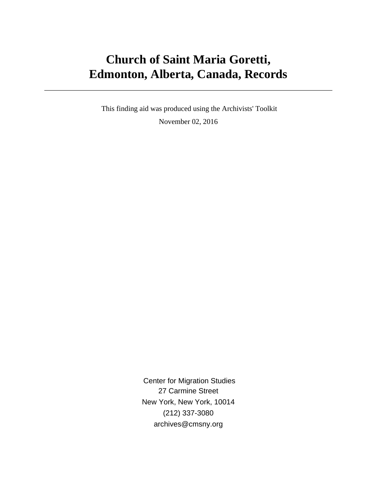# **Church of Saint Maria Goretti, Edmonton, Alberta, Canada, Records**

 This finding aid was produced using the Archivists' Toolkit November 02, 2016

> Center for Migration Studies 27 Carmine Street New York, New York, 10014 (212) 337-3080 archives@cmsny.org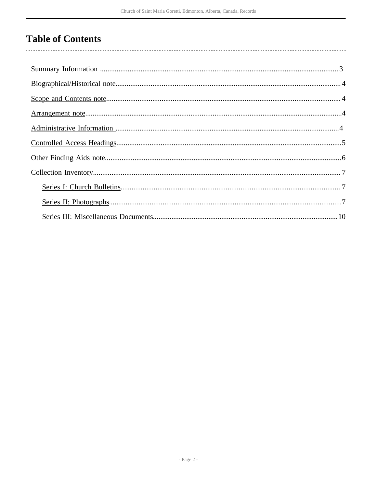## **Table of Contents**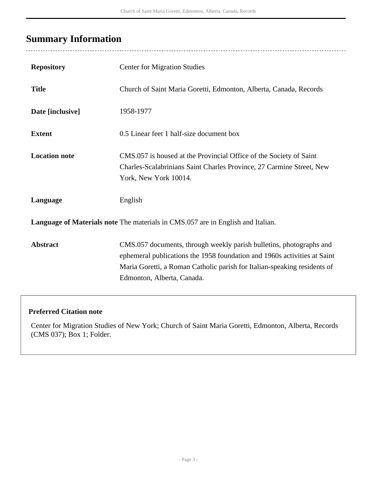# <span id="page-2-0"></span>**Summary Information**

| <b>Repository</b>                                                               | <b>Center for Migration Studies</b>                                                                                                                                                                                                                       |  |  |  |
|---------------------------------------------------------------------------------|-----------------------------------------------------------------------------------------------------------------------------------------------------------------------------------------------------------------------------------------------------------|--|--|--|
| <b>Title</b>                                                                    | Church of Saint Maria Goretti, Edmonton, Alberta, Canada, Records                                                                                                                                                                                         |  |  |  |
| Date [inclusive]                                                                | 1958-1977                                                                                                                                                                                                                                                 |  |  |  |
| <b>Extent</b>                                                                   | 0.5 Linear feet 1 half-size document box                                                                                                                                                                                                                  |  |  |  |
| <b>Location note</b>                                                            | CMS.057 is housed at the Provincial Office of the Society of Saint<br>Charles-Scalabrinians Saint Charles Province, 27 Carmine Street, New<br>York, New York 10014.                                                                                       |  |  |  |
| Language                                                                        | English                                                                                                                                                                                                                                                   |  |  |  |
| Language of Materials note The materials in CMS.057 are in English and Italian. |                                                                                                                                                                                                                                                           |  |  |  |
| <b>Abstract</b>                                                                 | CMS.057 documents, through weekly parish bulletins, photographs and<br>ephemeral publications the 1958 foundation and 1960s activities at Saint<br>Maria Goretti, a Roman Catholic parish for Italian-speaking residents of<br>Edmonton, Alberta, Canada. |  |  |  |

### **Preferred Citation note**

Center for Migration Studies of New York; Church of Saint Maria Goretti, Edmonton, Alberta, Records (CMS 037); Box 1; Folder.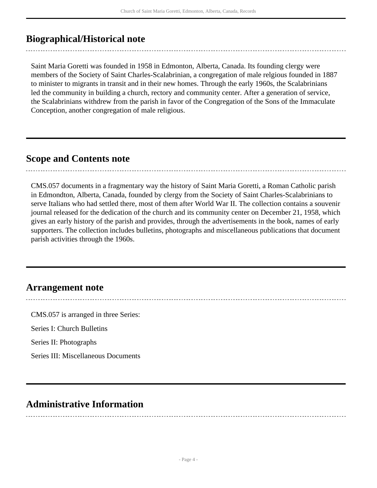## <span id="page-3-0"></span>**Biographical/Historical note**

Saint Maria Goretti was founded in 1958 in Edmonton, Alberta, Canada. Its founding clergy were members of the Society of Saint Charles-Scalabrinian, a congregation of male relgious founded in 1887 to minister to migrants in transit and in their new homes. Through the early 1960s, the Scalabrinians led the community in building a church, rectory and community center. After a generation of service, the Scalabrinians withdrew from the parish in favor of the Congregation of the Sons of the Immaculate Conception, another congregation of male religious.

### <span id="page-3-1"></span>**Scope and Contents note**

CMS.057 documents in a fragmentary way the history of Saint Maria Goretti, a Roman Catholic parish in Edmondton, Alberta, Canada, founded by clergy from the Society of Saint Charles-Scalabrinians to serve Italians who had settled there, most of them after World War II. The collection contains a souvenir journal released for the dedication of the church and its community center on December 21, 1958, which gives an early history of the parish and provides, through the advertisements in the book, names of early supporters. The collection includes bulletins, photographs and miscellaneous publications that document parish activities through the 1960s.

### <span id="page-3-2"></span>**Arrangement note**

CMS.057 is arranged in three Series: Series I: Church Bulletins Series II: Photographs Series III: Miscellaneous Documents

## <span id="page-3-3"></span>**Administrative Information**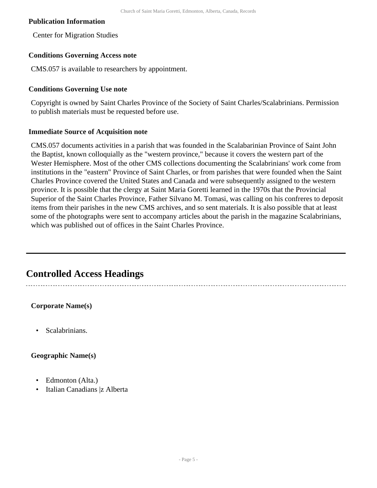#### **Publication Information**

Center for Migration Studies

#### **Conditions Governing Access note**

CMS.057 is available to researchers by appointment.

#### **Conditions Governing Use note**

Copyright is owned by Saint Charles Province of the Society of Saint Charles/Scalabrinians. Permission to publish materials must be requested before use.

#### **Immediate Source of Acquisition note**

CMS.057 documents activities in a parish that was founded in the Scalabarinian Province of Saint John the Baptist, known colloquially as the "western province," because it covers the western part of the Wester Hemisphere. Most of the other CMS collections documenting the Scalabrinians' work come from institutions in the "eastern" Province of Saint Charles, or from parishes that were founded when the Saint Charles Province covered the United States and Canada and were subsequently assigned to the western province. It is possible that the clergy at Saint Maria Goretti learned in the 1970s that the Provincial Superior of the Saint Charles Province, Father Silvano M. Tomasi, was calling on his confreres to deposit items from their parishes in the new CMS archives, and so sent materials. It is also possible that at least some of the photographs were sent to accompany articles about the parish in the magazine Scalabrinians, which was published out of offices in the Saint Charles Province.

### <span id="page-4-0"></span>**Controlled Access Headings**

#### **Corporate Name(s)**

• Scalabrinians.

#### **Geographic Name(s)**

- Edmonton (Alta.)
- Italian Canadians |z Alberta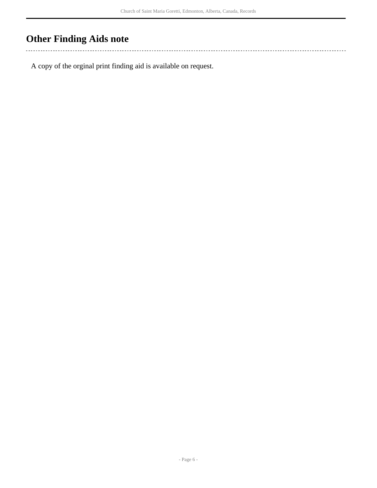## <span id="page-5-0"></span>**Other Finding Aids note**

 $\sim$   $\sim$   $\sim$ 

A copy of the orginal print finding aid is available on request.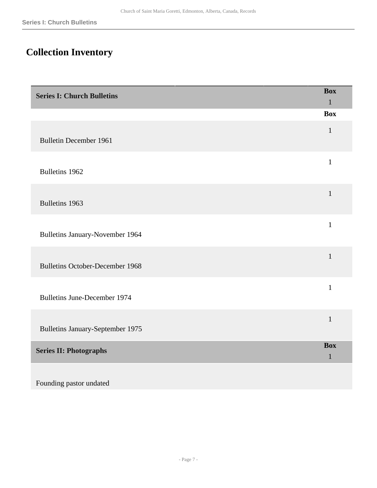## <span id="page-6-0"></span>**Collection Inventory**

<span id="page-6-2"></span><span id="page-6-1"></span>

| <b>Series I: Church Bulletins</b>      | <b>Box</b><br>$\mathbf{1}$ |
|----------------------------------------|----------------------------|
|                                        | <b>Box</b>                 |
| <b>Bulletin December 1961</b>          | $\mathbf{1}$               |
| Bulletins 1962                         | $\mathbf{1}$               |
| Bulletins 1963                         | $\mathbf{1}$               |
| Bulletins January-November 1964        | $\mathbf{1}$               |
| <b>Bulletins October-December 1968</b> | $\mathbf{1}$               |
| <b>Bulletins June-December 1974</b>    | $\mathbf{1}$               |
| Bulletins January-September 1975       | $\mathbf{1}$               |
| <b>Series II: Photographs</b>          | <b>Box</b><br>$\mathbf{1}$ |
| Founding pastor undated                |                            |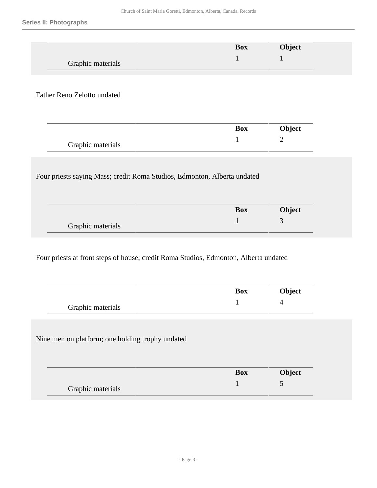|                                                                          | <b>Box</b>      | Object         |
|--------------------------------------------------------------------------|-----------------|----------------|
| Graphic materials                                                        | $\mathbf{1}$    | 1              |
|                                                                          |                 |                |
| Father Reno Zelotto undated                                              |                 |                |
|                                                                          |                 |                |
|                                                                          | <b>Box</b>      | Object         |
|                                                                          |                 |                |
|                                                                          | $\mathbf{1}$    | $\overline{2}$ |
| Graphic materials                                                        |                 |                |
| Four priests saying Mass; credit Roma Studios, Edmonton, Alberta undated |                 |                |
|                                                                          | <b>Box</b><br>1 | Object<br>3    |

Four priests at front steps of house; credit Roma Studios, Edmonton, Alberta undated

|                                                  | <b>Box</b> | Object         |
|--------------------------------------------------|------------|----------------|
| Graphic materials                                |            | $\overline{4}$ |
|                                                  |            |                |
|                                                  |            |                |
| Nine men on platform; one holding trophy undated |            |                |
|                                                  |            |                |
|                                                  | <b>Box</b> | Object         |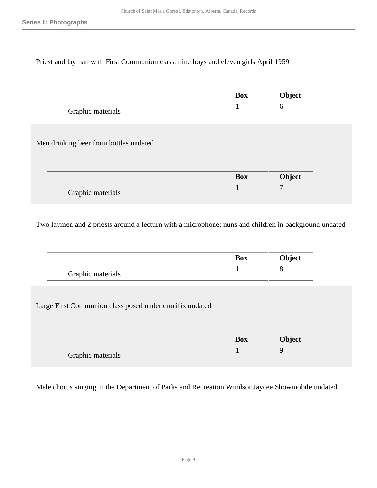### Priest and layman with First Communion class; nine boys and eleven girls April 1959

|                                        | <b>Box</b> | Object |
|----------------------------------------|------------|--------|
| Graphic materials                      | 1          | 6      |
|                                        |            |        |
| Men drinking beer from bottles undated |            |        |
|                                        |            |        |
|                                        | <b>Box</b> | Object |
| Graphic materials                      | 1          | 7      |

Two laymen and 2 priests around a lecturn with a microphone; nuns and children in background undated

|                                                          | <b>Box</b> | Object |
|----------------------------------------------------------|------------|--------|
| Graphic materials                                        |            | 8      |
|                                                          |            |        |
| Large First Communion class posed under crucifix undated |            |        |
|                                                          |            |        |
|                                                          | <b>Box</b> | Object |

Male chorus singing in the Department of Parks and Recreation Windsor Jaycee Showmobile undated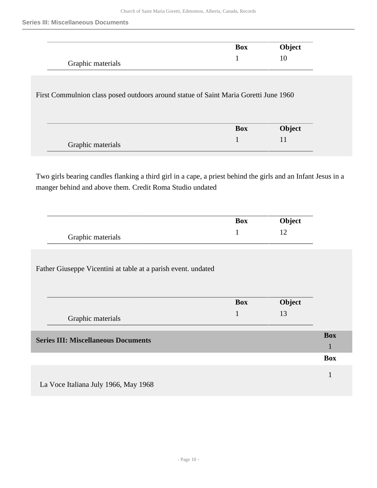|                                                                                      | <b>Box</b> | Object |
|--------------------------------------------------------------------------------------|------------|--------|
| Graphic materials                                                                    |            | 10     |
|                                                                                      |            |        |
|                                                                                      |            |        |
| First Commulnion class posed outdoors around statue of Saint Maria Goretti June 1960 |            |        |
|                                                                                      |            |        |
|                                                                                      | <b>Box</b> | Object |

Two girls bearing candles flanking a third girl in a cape, a priest behind the girls and an Infant Jesus in a manger behind and above them. Credit Roma Studio undated

|                   | Box | Object |
|-------------------|-----|--------|
| Graphic materials |     |        |

Father Giuseppe Vicentini at table at a parish event. undated

<span id="page-9-0"></span>

|                                            | <b>Box</b> | Object |            |
|--------------------------------------------|------------|--------|------------|
| Graphic materials                          |            | 13     |            |
| <b>Series III: Miscellaneous Documents</b> |            |        | <b>Box</b> |
|                                            |            |        | <b>Box</b> |
| La Voce Italiana July 1966, May 1968       |            |        |            |